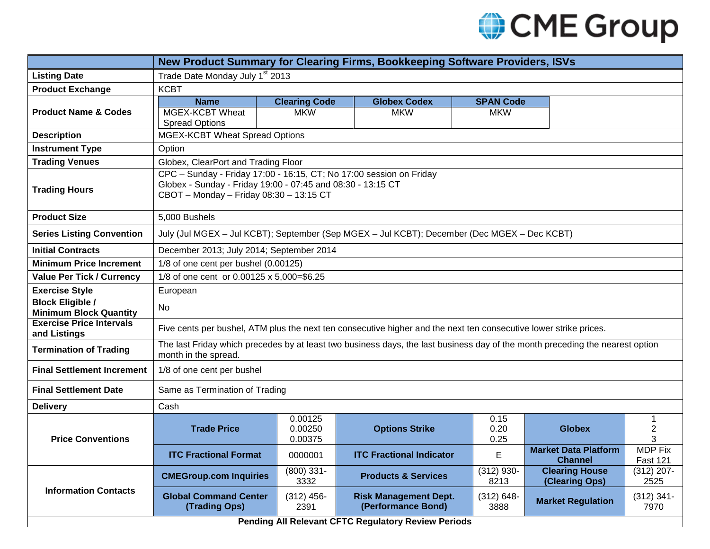

|                                                            | New Product Summary for Clearing Firms, Bookkeeping Software Providers, ISVs                                                                                                  |                                    |                                                    |                                |                                               |                                   |
|------------------------------------------------------------|-------------------------------------------------------------------------------------------------------------------------------------------------------------------------------|------------------------------------|----------------------------------------------------|--------------------------------|-----------------------------------------------|-----------------------------------|
| <b>Listing Date</b>                                        | Trade Date Monday July 1 <sup>st</sup> 2013                                                                                                                                   |                                    |                                                    |                                |                                               |                                   |
| <b>Product Exchange</b>                                    | <b>KCBT</b>                                                                                                                                                                   |                                    |                                                    |                                |                                               |                                   |
| <b>Product Name &amp; Codes</b>                            | <b>Name</b><br><b>MGEX-KCBT Wheat</b><br><b>Spread Options</b>                                                                                                                | <b>Clearing Code</b><br><b>MKW</b> | <b>Globex Codex</b><br><b>MKW</b>                  | <b>SPAN Code</b><br><b>MKW</b> |                                               |                                   |
| <b>Description</b>                                         | MGEX-KCBT Wheat Spread Options                                                                                                                                                |                                    |                                                    |                                |                                               |                                   |
| <b>Instrument Type</b>                                     | Option                                                                                                                                                                        |                                    |                                                    |                                |                                               |                                   |
| <b>Trading Venues</b>                                      | Globex, ClearPort and Trading Floor                                                                                                                                           |                                    |                                                    |                                |                                               |                                   |
| <b>Trading Hours</b>                                       | CPC - Sunday - Friday 17:00 - 16:15, CT; No 17:00 session on Friday<br>Globex - Sunday - Friday 19:00 - 07:45 and 08:30 - 13:15 CT<br>CBOT - Monday - Friday 08:30 - 13:15 CT |                                    |                                                    |                                |                                               |                                   |
| <b>Product Size</b>                                        | 5,000 Bushels                                                                                                                                                                 |                                    |                                                    |                                |                                               |                                   |
| <b>Series Listing Convention</b>                           | July (Jul MGEX - Jul KCBT); September (Sep MGEX - Jul KCBT); December (Dec MGEX - Dec KCBT)                                                                                   |                                    |                                                    |                                |                                               |                                   |
| <b>Initial Contracts</b>                                   | December 2013; July 2014; September 2014                                                                                                                                      |                                    |                                                    |                                |                                               |                                   |
| <b>Minimum Price Increment</b>                             | 1/8 of one cent per bushel (0.00125)                                                                                                                                          |                                    |                                                    |                                |                                               |                                   |
| <b>Value Per Tick / Currency</b>                           | 1/8 of one cent or 0.00125 x 5,000=\$6.25                                                                                                                                     |                                    |                                                    |                                |                                               |                                   |
| <b>Exercise Style</b>                                      | European                                                                                                                                                                      |                                    |                                                    |                                |                                               |                                   |
| <b>Block Eligible /</b><br><b>Minimum Block Quantity</b>   | No                                                                                                                                                                            |                                    |                                                    |                                |                                               |                                   |
| <b>Exercise Price Intervals</b><br>and Listings            | Five cents per bushel, ATM plus the next ten consecutive higher and the next ten consecutive lower strike prices.                                                             |                                    |                                                    |                                |                                               |                                   |
| <b>Termination of Trading</b>                              | The last Friday which precedes by at least two business days, the last business day of the month preceding the nearest option<br>month in the spread.                         |                                    |                                                    |                                |                                               |                                   |
| <b>Final Settlement Increment</b>                          | 1/8 of one cent per bushel                                                                                                                                                    |                                    |                                                    |                                |                                               |                                   |
| <b>Final Settlement Date</b>                               | Same as Termination of Trading                                                                                                                                                |                                    |                                                    |                                |                                               |                                   |
| <b>Delivery</b>                                            | Cash                                                                                                                                                                          |                                    |                                                    |                                |                                               |                                   |
| <b>Price Conventions</b>                                   | <b>Trade Price</b>                                                                                                                                                            | 0.00125<br>0.00250<br>0.00375      | <b>Options Strike</b>                              | 0.15<br>0.20<br>0.25           | <b>Globex</b>                                 | 1<br>2<br>3                       |
|                                                            | <b>ITC Fractional Format</b>                                                                                                                                                  | 0000001                            | <b>ITC Fractional Indicator</b>                    | E                              | <b>Market Data Platform</b><br><b>Channel</b> | <b>MDP Fix</b><br><b>Fast 121</b> |
| <b>Information Contacts</b>                                | <b>CMEGroup.com Inquiries</b>                                                                                                                                                 | $(800)$ 331-<br>3332               | <b>Products &amp; Services</b>                     | $(312)$ 930-<br>8213           | <b>Clearing House</b><br>(Clearing Ops)       | $(312)$ 207-<br>2525              |
|                                                            | <b>Global Command Center</b><br>(Trading Ops)                                                                                                                                 | $(312)$ 456-<br>2391               | <b>Risk Management Dept.</b><br>(Performance Bond) | $(312) 648 -$<br>3888          | <b>Market Regulation</b>                      | $(312)$ 341-<br>7970              |
| <b>Pending All Relevant CFTC Regulatory Review Periods</b> |                                                                                                                                                                               |                                    |                                                    |                                |                                               |                                   |